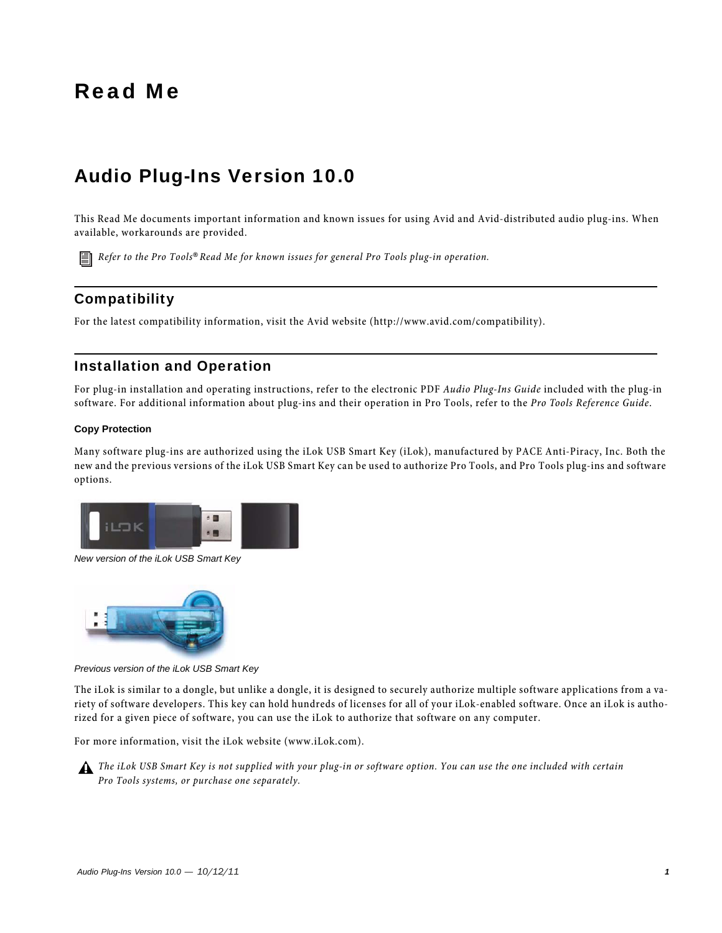# Read Me

# Audio Plug-Ins Version 10.0

This Read Me documents important information and known issues for using Avid and Avid-distributed audio plug-ins. When available, workarounds are provided.

*Refer to the Pro Tools® Read Me for known issues for general Pro Tools plug-in operation.*

# **Compatibility**

For the latest compatibility information, visit the Avid website (http://www.avid.com/compatibility).

# Installation and Operation

For plug-in installation and operating instructions, refer to the electronic PDF *Audio Plug-Ins Guide* included with the plug-in software. For additional information about plug-ins and their operation in Pro Tools, refer to the *Pro Tools Reference Guide*.

#### **Copy Protection**

Many software plug-ins are authorized using the iLok USB Smart Key (iLok), manufactured by PACE Anti-Piracy, Inc. Both the new and the previous versions of the iLok USB Smart Key can be used to authorize Pro Tools, and Pro Tools plug-ins and software options.



*New version of the iLok USB Smart Key*



*Previous version of the iLok USB Smart Key*

The iLok is similar to a dongle, but unlike a dongle, it is designed to securely authorize multiple software applications from a variety of software developers. This key can hold hundreds of licenses for all of your iLok-enabled software. Once an iLok is authorized for a given piece of software, you can use the iLok to authorize that software on any computer.

For more information, visit the iLok website (www.iLok.com).



*The iLok USB Smart Key is not supplied with your plug-in or software option. You can use the one included with certain Pro Tools systems, or purchase one separately.*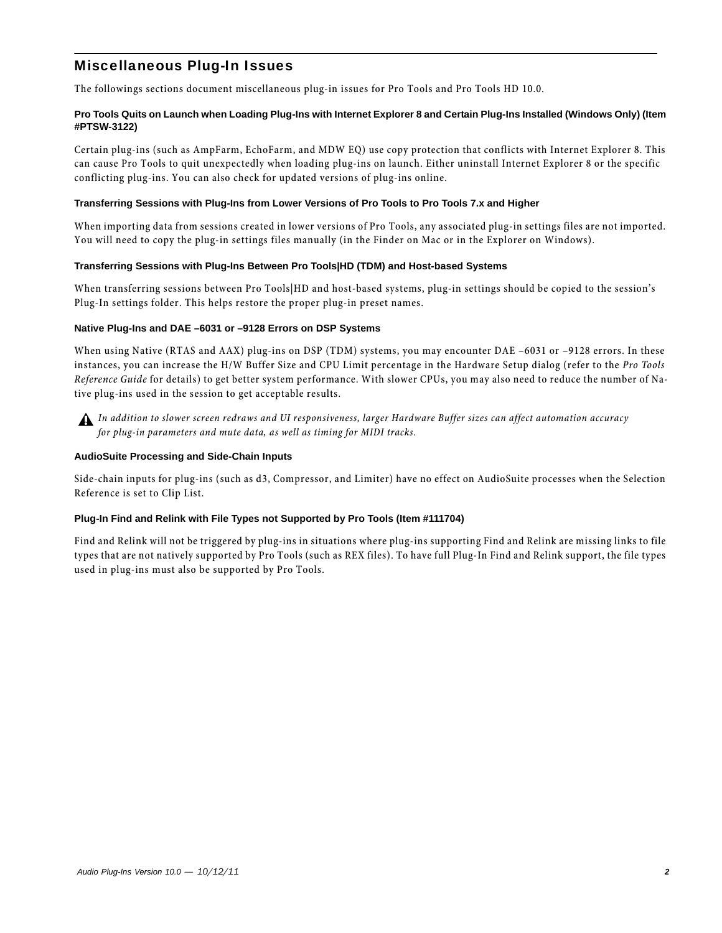# Miscellaneous Plug-In Issues

The followings sections document miscellaneous plug-in issues for Pro Tools and Pro Tools HD 10.0.

#### **Pro Tools Quits on Launch when Loading Plug-Ins with Internet Explorer 8 and Certain Plug-Ins Installed (Windows Only) (Item #PTSW-3122)**

Certain plug-ins (such as AmpFarm, EchoFarm, and MDW EQ) use copy protection that conflicts with Internet Explorer 8. This can cause Pro Tools to quit unexpectedly when loading plug-ins on launch. Either uninstall Internet Explorer 8 or the specific conflicting plug-ins. You can also check for updated versions of plug-ins online.

#### **Transferring Sessions with Plug-Ins from Lower Versions of Pro Tools to Pro Tools 7.x and Higher**

When importing data from sessions created in lower versions of Pro Tools, any associated plug-in settings files are not imported. You will need to copy the plug-in settings files manually (in the Finder on Mac or in the Explorer on Windows).

#### **Transferring Sessions with Plug-Ins Between Pro Tools|HD (TDM) and Host-based Systems**

When transferring sessions between Pro Tools|HD and host-based systems, plug-in settings should be copied to the session's Plug-In settings folder. This helps restore the proper plug-in preset names.

#### **Native Plug-Ins and DAE –6031 or –9128 Errors on DSP Systems**

When using Native (RTAS and AAX) plug-ins on DSP (TDM) systems, you may encounter DAE -6031 or -9128 errors. In these instances, you can increase the H/W Buffer Size and CPU Limit percentage in the Hardware Setup dialog (refer to the *Pro Tools Reference Guide* for details) to get better system performance. With slower CPUs, you may also need to reduce the number of Native plug-ins used in the session to get acceptable results.



*In addition to slower screen redraws and UI responsiveness, larger Hardware Buffer sizes can affect automation accuracy for plug-in parameters and mute data, as well as timing for MIDI tracks.*

#### **AudioSuite Processing and Side-Chain Inputs**

Side-chain inputs for plug-ins (such as d3, Compressor, and Limiter) have no effect on AudioSuite processes when the Selection Reference is set to Clip List.

#### **Plug-In Find and Relink with File Types not Supported by Pro Tools (Item #111704)**

Find and Relink will not be triggered by plug-ins in situations where plug-ins supporting Find and Relink are missing links to file types that are not natively supported by Pro Tools (such as REX files). To have full Plug-In Find and Relink support, the file types used in plug-ins must also be supported by Pro Tools.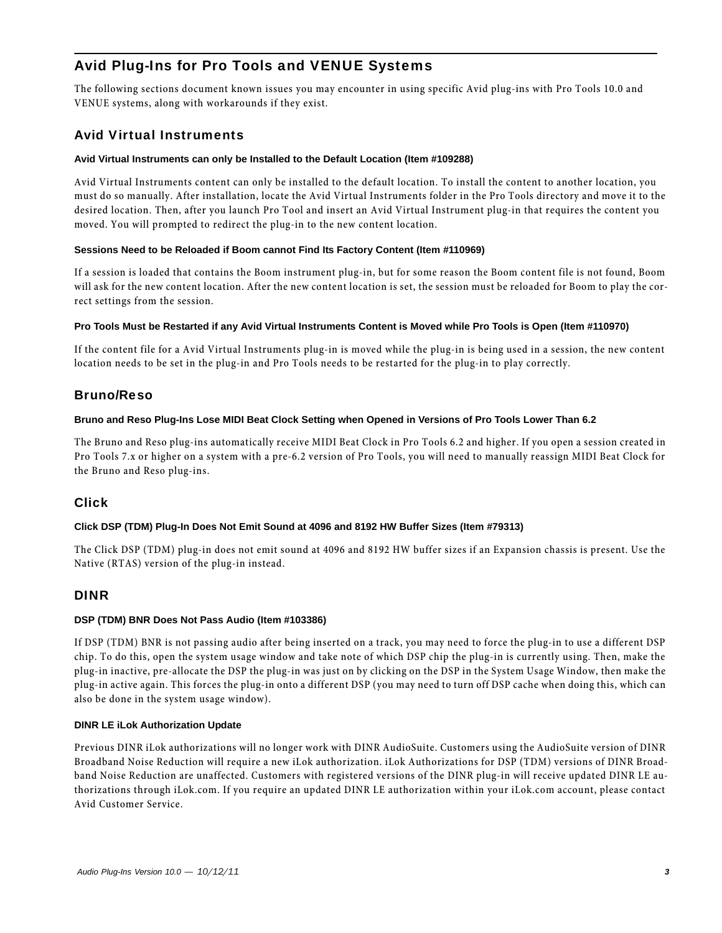# Avid Plug-Ins for Pro Tools and VENUE Systems

The following sections document known issues you may encounter in using specific Avid plug-ins with Pro Tools 10.0 and VENUE systems, along with workarounds if they exist.

# Avid Virtual Instruments

#### **Avid Virtual Instruments can only be Installed to the Default Location (Item #109288)**

Avid Virtual Instruments content can only be installed to the default location. To install the content to another location, you must do so manually. After installation, locate the Avid Virtual Instruments folder in the Pro Tools directory and move it to the desired location. Then, after you launch Pro Tool and insert an Avid Virtual Instrument plug-in that requires the content you moved. You will prompted to redirect the plug-in to the new content location.

#### **Sessions Need to be Reloaded if Boom cannot Find Its Factory Content (Item #110969)**

If a session is loaded that contains the Boom instrument plug-in, but for some reason the Boom content file is not found, Boom will ask for the new content location. After the new content location is set, the session must be reloaded for Boom to play the correct settings from the session.

#### **Pro Tools Must be Restarted if any Avid Virtual Instruments Content is Moved while Pro Tools is Open (Item #110970)**

If the content file for a Avid Virtual Instruments plug-in is moved while the plug-in is being used in a session, the new content location needs to be set in the plug-in and Pro Tools needs to be restarted for the plug-in to play correctly.

# Bruno/Reso

#### **Bruno and Reso Plug-Ins Lose MIDI Beat Clock Setting when Opened in Versions of Pro Tools Lower Than 6.2**

The Bruno and Reso plug-ins automatically receive MIDI Beat Clock in Pro Tools 6.2 and higher. If you open a session created in Pro Tools 7.x or higher on a system with a pre-6.2 version of Pro Tools, you will need to manually reassign MIDI Beat Clock for the Bruno and Reso plug-ins.

# Click

#### **Click DSP (TDM) Plug-In Does Not Emit Sound at 4096 and 8192 HW Buffer Sizes (Item #79313)**

The Click DSP (TDM) plug-in does not emit sound at 4096 and 8192 HW buffer sizes if an Expansion chassis is present. Use the Native (RTAS) version of the plug-in instead.

# DINR

#### **DSP (TDM) BNR Does Not Pass Audio (Item #103386)**

If DSP (TDM) BNR is not passing audio after being inserted on a track, you may need to force the plug-in to use a different DSP chip. To do this, open the system usage window and take note of which DSP chip the plug-in is currently using. Then, make the plug-in inactive, pre-allocate the DSP the plug-in was just on by clicking on the DSP in the System Usage Window, then make the plug-in active again. This forces the plug-in onto a different DSP (you may need to turn off DSP cache when doing this, which can also be done in the system usage window).

#### **DINR LE iLok Authorization Update**

Previous DINR iLok authorizations will no longer work with DINR AudioSuite. Customers using the AudioSuite version of DINR Broadband Noise Reduction will require a new iLok authorization. iLok Authorizations for DSP (TDM) versions of DINR Broadband Noise Reduction are unaffected. Customers with registered versions of the DINR plug-in will receive updated DINR LE authorizations through iLok.com. If you require an updated DINR LE authorization within your iLok.com account, please contact Avid Customer Service.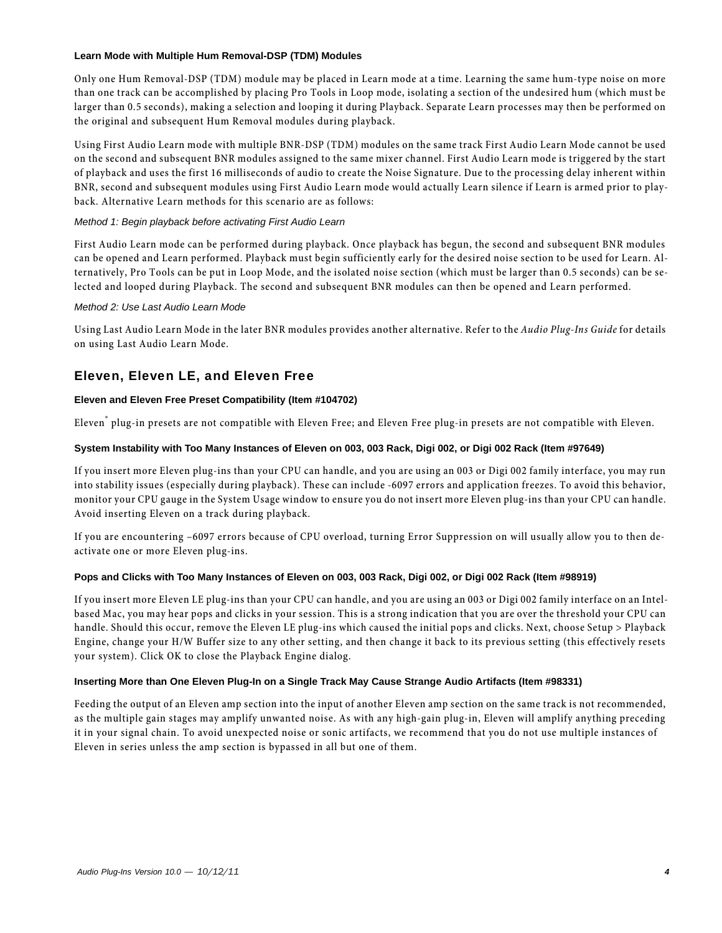#### **Learn Mode with Multiple Hum Removal-DSP (TDM) Modules**

Only one Hum Removal-DSP (TDM) module may be placed in Learn mode at a time. Learning the same hum-type noise on more than one track can be accomplished by placing Pro Tools in Loop mode, isolating a section of the undesired hum (which must be larger than 0.5 seconds), making a selection and looping it during Playback. Separate Learn processes may then be performed on the original and subsequent Hum Removal modules during playback.

Using First Audio Learn mode with multiple BNR-DSP (TDM) modules on the same track First Audio Learn Mode cannot be used on the second and subsequent BNR modules assigned to the same mixer channel. First Audio Learn mode is triggered by the start of playback and uses the first 16 milliseconds of audio to create the Noise Signature. Due to the processing delay inherent within BNR, second and subsequent modules using First Audio Learn mode would actually Learn silence if Learn is armed prior to playback. Alternative Learn methods for this scenario are as follows:

#### *Method 1: Begin playback before activating First Audio Learn*

First Audio Learn mode can be performed during playback. Once playback has begun, the second and subsequent BNR modules can be opened and Learn performed. Playback must begin sufficiently early for the desired noise section to be used for Learn. Alternatively, Pro Tools can be put in Loop Mode, and the isolated noise section (which must be larger than 0.5 seconds) can be selected and looped during Playback. The second and subsequent BNR modules can then be opened and Learn performed.

#### *Method 2: Use Last Audio Learn Mode*

Using Last Audio Learn Mode in the later BNR modules provides another alternative. Refer to the *Audio Plug-Ins Guide* for details on using Last Audio Learn Mode.

# Eleven, Eleven LE, and Eleven Free

#### **Eleven and Eleven Free Preset Compatibility (Item #104702)**

Eleven® plug-in presets are not compatible with Eleven Free; and Eleven Free plug-in presets are not compatible with Eleven.

#### **System Instability with Too Many Instances of Eleven on 003, 003 Rack, Digi 002, or Digi 002 Rack (Item #97649)**

If you insert more Eleven plug-ins than your CPU can handle, and you are using an 003 or Digi 002 family interface, you may run into stability issues (especially during playback). These can include -6097 errors and application freezes. To avoid this behavior, monitor your CPU gauge in the System Usage window to ensure you do not insert more Eleven plug-ins than your CPU can handle. Avoid inserting Eleven on a track during playback.

If you are encountering –6097 errors because of CPU overload, turning Error Suppression on will usually allow you to then deactivate one or more Eleven plug-ins.

#### **Pops and Clicks with Too Many Instances of Eleven on 003, 003 Rack, Digi 002, or Digi 002 Rack (Item #98919)**

If you insert more Eleven LE plug-ins than your CPU can handle, and you are using an 003 or Digi 002 family interface on an Intelbased Mac, you may hear pops and clicks in your session. This is a strong indication that you are over the threshold your CPU can handle. Should this occur, remove the Eleven LE plug-ins which caused the initial pops and clicks. Next, choose Setup > Playback Engine, change your H/W Buffer size to any other setting, and then change it back to its previous setting (this effectively resets your system). Click OK to close the Playback Engine dialog.

#### **Inserting More than One Eleven Plug-In on a Single Track May Cause Strange Audio Artifacts (Item #98331)**

Feeding the output of an Eleven amp section into the input of another Eleven amp section on the same track is not recommended, as the multiple gain stages may amplify unwanted noise. As with any high-gain plug-in, Eleven will amplify anything preceding it in your signal chain. To avoid unexpected noise or sonic artifacts, we recommend that you do not use multiple instances of Eleven in series unless the amp section is bypassed in all but one of them.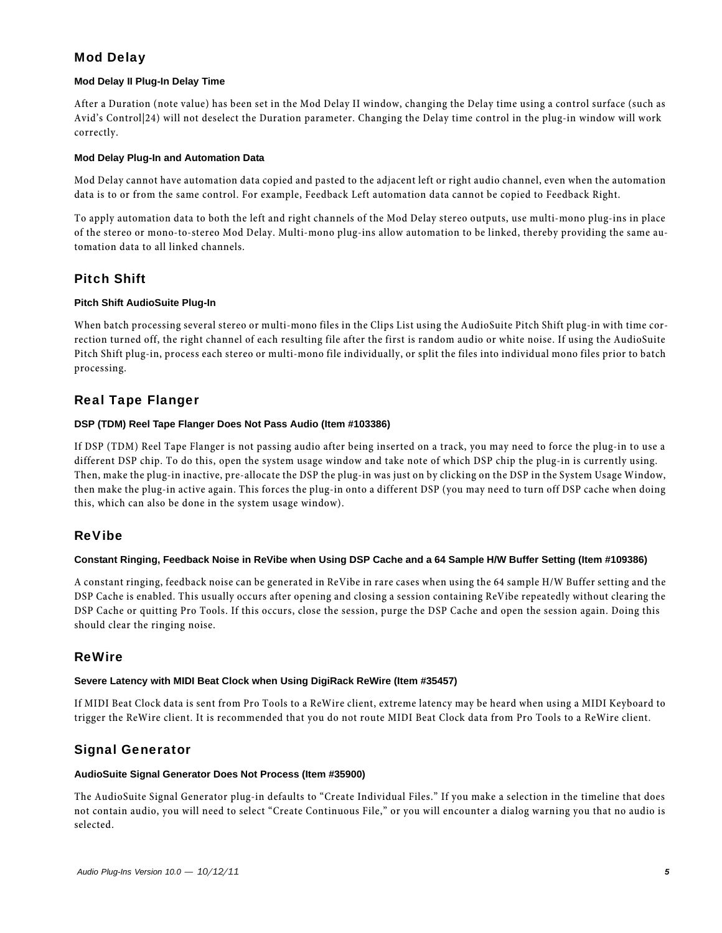# Mod Delay

#### **Mod Delay II Plug-In Delay Time**

After a Duration (note value) has been set in the Mod Delay II window, changing the Delay time using a control surface (such as Avid's Control|24) will not deselect the Duration parameter. Changing the Delay time control in the plug-in window will work correctly.

#### **Mod Delay Plug-In and Automation Data**

Mod Delay cannot have automation data copied and pasted to the adjacent left or right audio channel, even when the automation data is to or from the same control. For example, Feedback Left automation data cannot be copied to Feedback Right.

To apply automation data to both the left and right channels of the Mod Delay stereo outputs, use multi-mono plug-ins in place of the stereo or mono-to-stereo Mod Delay. Multi-mono plug-ins allow automation to be linked, thereby providing the same automation data to all linked channels.

# Pitch Shift

#### **Pitch Shift AudioSuite Plug-In**

When batch processing several stereo or multi-mono files in the Clips List using the AudioSuite Pitch Shift plug-in with time correction turned off, the right channel of each resulting file after the first is random audio or white noise. If using the AudioSuite Pitch Shift plug-in, process each stereo or multi-mono file individually, or split the files into individual mono files prior to batch processing.

# Real Tape Flanger

#### **DSP (TDM) Reel Tape Flanger Does Not Pass Audio (Item #103386)**

If DSP (TDM) Reel Tape Flanger is not passing audio after being inserted on a track, you may need to force the plug-in to use a different DSP chip. To do this, open the system usage window and take note of which DSP chip the plug-in is currently using. Then, make the plug-in inactive, pre-allocate the DSP the plug-in was just on by clicking on the DSP in the System Usage Window, then make the plug-in active again. This forces the plug-in onto a different DSP (you may need to turn off DSP cache when doing this, which can also be done in the system usage window).

# ReVibe

#### **Constant Ringing, Feedback Noise in ReVibe when Using DSP Cache and a 64 Sample H/W Buffer Setting (Item #109386)**

A constant ringing, feedback noise can be generated in ReVibe in rare cases when using the 64 sample H/W Buffer setting and the DSP Cache is enabled. This usually occurs after opening and closing a session containing ReVibe repeatedly without clearing the DSP Cache or quitting Pro Tools. If this occurs, close the session, purge the DSP Cache and open the session again. Doing this should clear the ringing noise.

# ReWire

#### **Severe Latency with MIDI Beat Clock when Using DigiRack ReWire (Item #35457)**

If MIDI Beat Clock data is sent from Pro Tools to a ReWire client, extreme latency may be heard when using a MIDI Keyboard to trigger the ReWire client. It is recommended that you do not route MIDI Beat Clock data from Pro Tools to a ReWire client.

# Signal Generator

#### **AudioSuite Signal Generator Does Not Process (Item #35900)**

The AudioSuite Signal Generator plug-in defaults to "Create Individual Files." If you make a selection in the timeline that does not contain audio, you will need to select "Create Continuous File," or you will encounter a dialog warning you that no audio is selected.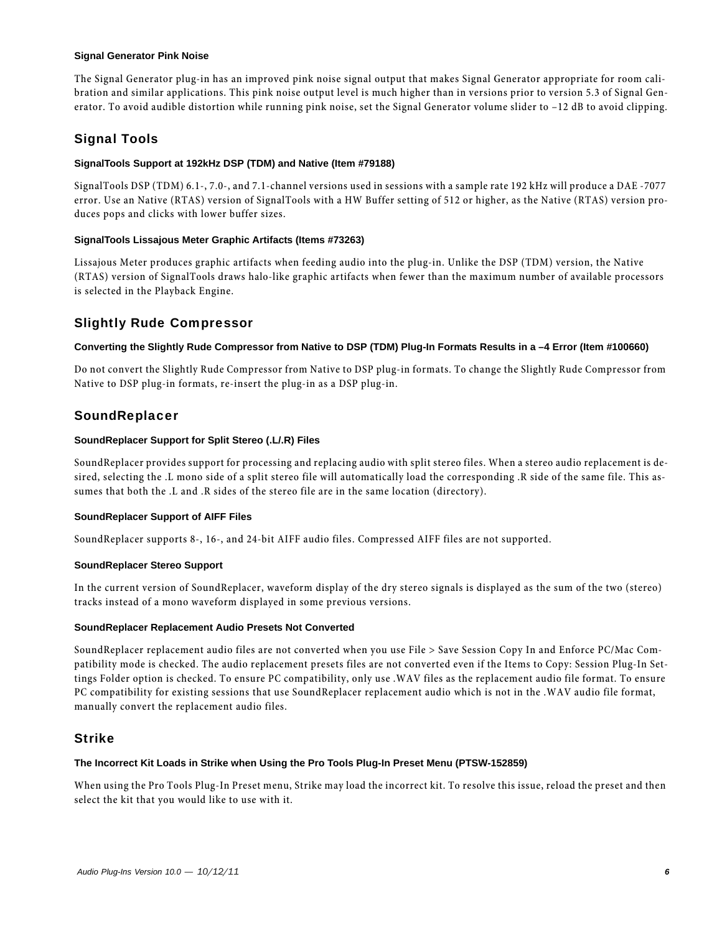#### **Signal Generator Pink Noise**

The Signal Generator plug-in has an improved pink noise signal output that makes Signal Generator appropriate for room calibration and similar applications. This pink noise output level is much higher than in versions prior to version 5.3 of Signal Generator. To avoid audible distortion while running pink noise, set the Signal Generator volume slider to –12 dB to avoid clipping.

# Signal Tools

#### **SignalTools Support at 192kHz DSP (TDM) and Native (Item #79188)**

SignalTools DSP (TDM) 6.1-, 7.0-, and 7.1-channel versions used in sessions with a sample rate 192 kHz will produce a DAE -7077 error. Use an Native (RTAS) version of SignalTools with a HW Buffer setting of 512 or higher, as the Native (RTAS) version produces pops and clicks with lower buffer sizes.

#### **SignalTools Lissajous Meter Graphic Artifacts (Items #73263)**

Lissajous Meter produces graphic artifacts when feeding audio into the plug-in. Unlike the DSP (TDM) version, the Native (RTAS) version of SignalTools draws halo-like graphic artifacts when fewer than the maximum number of available processors is selected in the Playback Engine.

# Slightly Rude Compressor

#### **Converting the Slightly Rude Compressor from Native to DSP (TDM) Plug-In Formats Results in a –4 Error (Item #100660)**

Do not convert the Slightly Rude Compressor from Native to DSP plug-in formats. To change the Slightly Rude Compressor from Native to DSP plug-in formats, re-insert the plug-in as a DSP plug-in.

# **SoundReplacer**

#### **SoundReplacer Support for Split Stereo (.L/.R) Files**

SoundReplacer provides support for processing and replacing audio with split stereo files. When a stereo audio replacement is desired, selecting the .L mono side of a split stereo file will automatically load the corresponding .R side of the same file. This assumes that both the .L and .R sides of the stereo file are in the same location (directory).

#### **SoundReplacer Support of AIFF Files**

SoundReplacer supports 8-, 16-, and 24-bit AIFF audio files. Compressed AIFF files are not supported.

#### **SoundReplacer Stereo Support**

In the current version of SoundReplacer, waveform display of the dry stereo signals is displayed as the sum of the two (stereo) tracks instead of a mono waveform displayed in some previous versions.

#### **SoundReplacer Replacement Audio Presets Not Converted**

SoundReplacer replacement audio files are not converted when you use File > Save Session Copy In and Enforce PC/Mac Compatibility mode is checked. The audio replacement presets files are not converted even if the Items to Copy: Session Plug-In Settings Folder option is checked. To ensure PC compatibility, only use .WAV files as the replacement audio file format. To ensure PC compatibility for existing sessions that use SoundReplacer replacement audio which is not in the .WAV audio file format, manually convert the replacement audio files.

# Strike

#### **The Incorrect Kit Loads in Strike when Using the Pro Tools Plug-In Preset Menu (PTSW-152859)**

When using the Pro Tools Plug-In Preset menu, Strike may load the incorrect kit. To resolve this issue, reload the preset and then select the kit that you would like to use with it.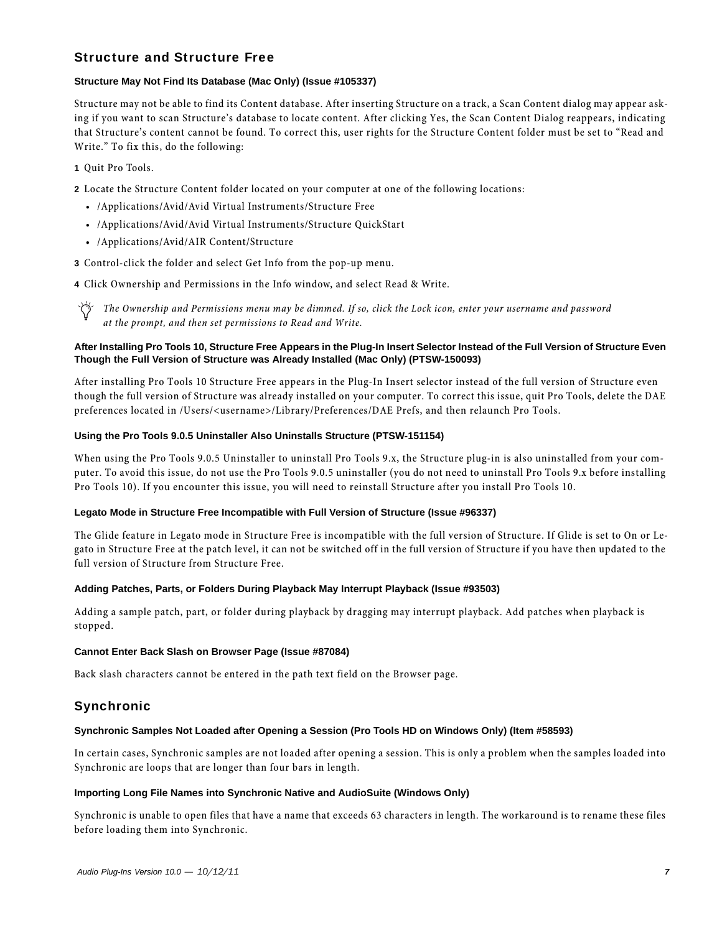# Structure and Structure Free

#### **Structure May Not Find Its Database (Mac Only) (Issue #105337)**

Structure may not be able to find its Content database. After inserting Structure on a track, a Scan Content dialog may appear asking if you want to scan Structure's database to locate content. After clicking Yes, the Scan Content Dialog reappears, indicating that Structure's content cannot be found. To correct this, user rights for the Structure Content folder must be set to "Read and Write." To fix this, do the following:

- **1** Quit Pro Tools.
- **2** Locate the Structure Content folder located on your computer at one of the following locations:
	- /Applications/Avid/Avid Virtual Instruments/Structure Free
	- /Applications/Avid/Avid Virtual Instruments/Structure QuickStart
	- /Applications/Avid/AIR Content/Structure

**3** Control-click the folder and select Get Info from the pop-up menu.

**4** Click Ownership and Permissions in the Info window, and select Read & Write.

*The Ownership and Permissions menu may be dimmed. If so, click the Lock icon, enter your username and password at the prompt, and then set permissions to Read and Write.*

#### **After Installing Pro Tools 10, Structure Free Appears in the Plug-In Insert Selector Instead of the Full Version of Structure Even Though the Full Version of Structure was Already Installed (Mac Only) (PTSW-150093)**

After installing Pro Tools 10 Structure Free appears in the Plug-In Insert selector instead of the full version of Structure even though the full version of Structure was already installed on your computer. To correct this issue, quit Pro Tools, delete the DAE preferences located in /Users/<username>/Library/Preferences/DAE Prefs, and then relaunch Pro Tools.

#### **Using the Pro Tools 9.0.5 Uninstaller Also Uninstalls Structure (PTSW-151154)**

When using the Pro Tools 9.0.5 Uninstaller to uninstall Pro Tools 9.x, the Structure plug-in is also uninstalled from your computer. To avoid this issue, do not use the Pro Tools 9.0.5 uninstaller (you do not need to uninstall Pro Tools 9.x before installing Pro Tools 10). If you encounter this issue, you will need to reinstall Structure after you install Pro Tools 10.

#### **Legato Mode in Structure Free Incompatible with Full Version of Structure (Issue #96337)**

The Glide feature in Legato mode in Structure Free is incompatible with the full version of Structure. If Glide is set to On or Legato in Structure Free at the patch level, it can not be switched off in the full version of Structure if you have then updated to the full version of Structure from Structure Free.

#### **Adding Patches, Parts, or Folders During Playback May Interrupt Playback (Issue #93503)**

Adding a sample patch, part, or folder during playback by dragging may interrupt playback. Add patches when playback is stopped.

#### **Cannot Enter Back Slash on Browser Page (Issue #87084)**

Back slash characters cannot be entered in the path text field on the Browser page.

#### Synchronic

#### **Synchronic Samples Not Loaded after Opening a Session (Pro Tools HD on Windows Only) (Item #58593)**

In certain cases, Synchronic samples are not loaded after opening a session. This is only a problem when the samples loaded into Synchronic are loops that are longer than four bars in length.

#### **Importing Long File Names into Synchronic Native and AudioSuite (Windows Only)**

Synchronic is unable to open files that have a name that exceeds 63 characters in length. The workaround is to rename these files before loading them into Synchronic.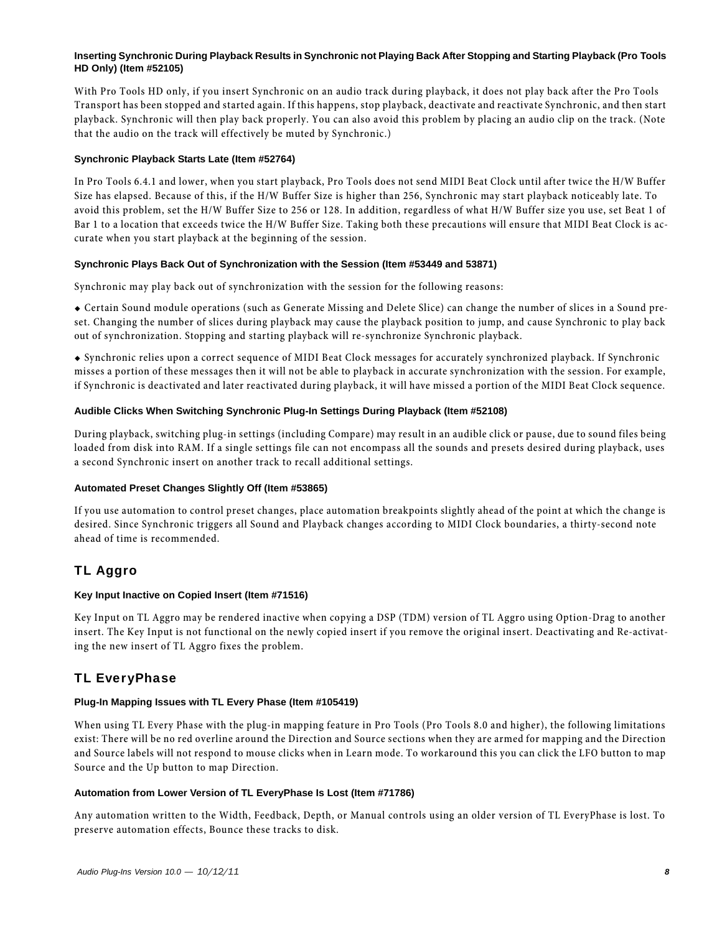#### **Inserting Synchronic During Playback Results in Synchronic not Playing Back After Stopping and Starting Playback (Pro Tools HD Only) (Item #52105)**

With Pro Tools HD only, if you insert Synchronic on an audio track during playback, it does not play back after the Pro Tools Transport has been stopped and started again. If this happens, stop playback, deactivate and reactivate Synchronic, and then start playback. Synchronic will then play back properly. You can also avoid this problem by placing an audio clip on the track. (Note that the audio on the track will effectively be muted by Synchronic.)

#### **Synchronic Playback Starts Late (Item #52764)**

In Pro Tools 6.4.1 and lower, when you start playback, Pro Tools does not send MIDI Beat Clock until after twice the H/W Buffer Size has elapsed. Because of this, if the H/W Buffer Size is higher than 256, Synchronic may start playback noticeably late. To avoid this problem, set the H/W Buffer Size to 256 or 128. In addition, regardless of what H/W Buffer size you use, set Beat 1 of Bar 1 to a location that exceeds twice the H/W Buffer Size. Taking both these precautions will ensure that MIDI Beat Clock is accurate when you start playback at the beginning of the session.

#### **Synchronic Plays Back Out of Synchronization with the Session (Item #53449 and 53871)**

Synchronic may play back out of synchronization with the session for the following reasons:

 Certain Sound module operations (such as Generate Missing and Delete Slice) can change the number of slices in a Sound preset. Changing the number of slices during playback may cause the playback position to jump, and cause Synchronic to play back out of synchronization. Stopping and starting playback will re-synchronize Synchronic playback.

 Synchronic relies upon a correct sequence of MIDI Beat Clock messages for accurately synchronized playback. If Synchronic misses a portion of these messages then it will not be able to playback in accurate synchronization with the session. For example, if Synchronic is deactivated and later reactivated during playback, it will have missed a portion of the MIDI Beat Clock sequence.

#### **Audible Clicks When Switching Synchronic Plug-In Settings During Playback (Item #52108)**

During playback, switching plug-in settings (including Compare) may result in an audible click or pause, due to sound files being loaded from disk into RAM. If a single settings file can not encompass all the sounds and presets desired during playback, uses a second Synchronic insert on another track to recall additional settings.

#### **Automated Preset Changes Slightly Off (Item #53865)**

If you use automation to control preset changes, place automation breakpoints slightly ahead of the point at which the change is desired. Since Synchronic triggers all Sound and Playback changes according to MIDI Clock boundaries, a thirty-second note ahead of time is recommended.

# TL Aggro

#### **Key Input Inactive on Copied Insert (Item #71516)**

Key Input on TL Aggro may be rendered inactive when copying a DSP (TDM) version of TL Aggro using Option-Drag to another insert. The Key Input is not functional on the newly copied insert if you remove the original insert. Deactivating and Re-activating the new insert of TL Aggro fixes the problem.

# TL EveryPhase

#### **Plug-In Mapping Issues with TL Every Phase (Item #105419)**

When using TL Every Phase with the plug-in mapping feature in Pro Tools (Pro Tools 8.0 and higher), the following limitations exist: There will be no red overline around the Direction and Source sections when they are armed for mapping and the Direction and Source labels will not respond to mouse clicks when in Learn mode. To workaround this you can click the LFO button to map Source and the Up button to map Direction.

#### **Automation from Lower Version of TL EveryPhase Is Lost (Item #71786)**

Any automation written to the Width, Feedback, Depth, or Manual controls using an older version of TL EveryPhase is lost. To preserve automation effects, Bounce these tracks to disk.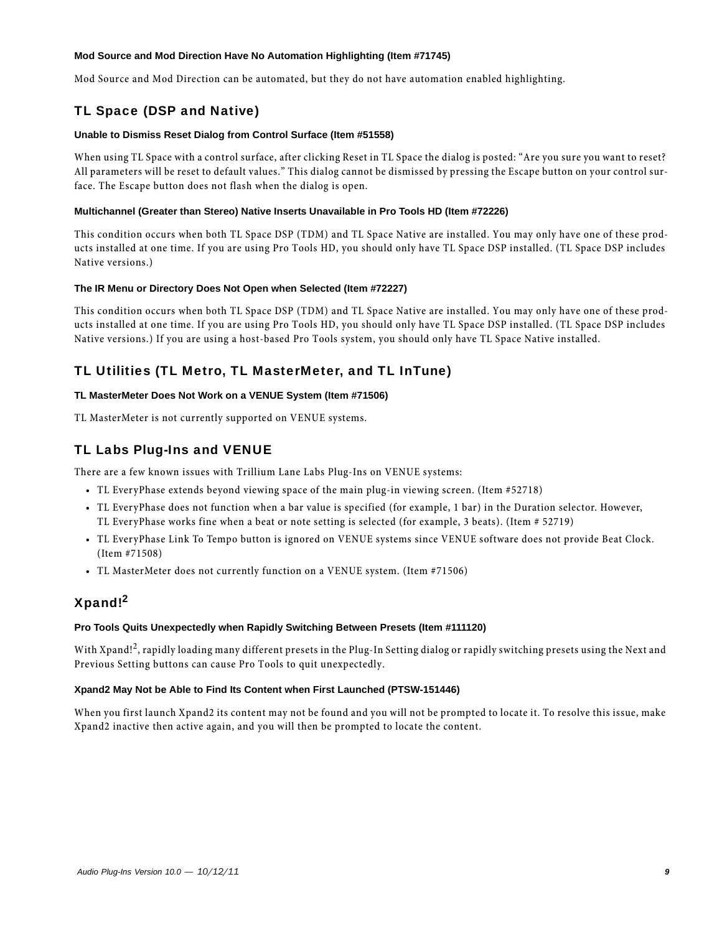#### **Mod Source and Mod Direction Have No Automation Highlighting (Item #71745)**

Mod Source and Mod Direction can be automated, but they do not have automation enabled highlighting.

# TL Space (DSP and Native)

#### **Unable to Dismiss Reset Dialog from Control Surface (Item #51558)**

When using TL Space with a control surface, after clicking Reset in TL Space the dialog is posted: "Are you sure you want to reset? All parameters will be reset to default values." This dialog cannot be dismissed by pressing the Escape button on your control surface. The Escape button does not flash when the dialog is open.

#### **Multichannel (Greater than Stereo) Native Inserts Unavailable in Pro Tools HD (Item #72226)**

This condition occurs when both TL Space DSP (TDM) and TL Space Native are installed. You may only have one of these products installed at one time. If you are using Pro Tools HD, you should only have TL Space DSP installed. (TL Space DSP includes Native versions.)

#### **The IR Menu or Directory Does Not Open when Selected (Item #72227)**

This condition occurs when both TL Space DSP (TDM) and TL Space Native are installed. You may only have one of these products installed at one time. If you are using Pro Tools HD, you should only have TL Space DSP installed. (TL Space DSP includes Native versions.) If you are using a host-based Pro Tools system, you should only have TL Space Native installed.

# TL Utilities (TL Metro, TL MasterMeter, and TL InTune)

#### **TL MasterMeter Does Not Work on a VENUE System (Item #71506)**

TL MasterMeter is not currently supported on VENUE systems.

# TL Labs Plug-Ins and VENUE

There are a few known issues with Trillium Lane Labs Plug-Ins on VENUE systems:

- TL EveryPhase extends beyond viewing space of the main plug-in viewing screen. (Item #52718)
- TL EveryPhase does not function when a bar value is specified (for example, 1 bar) in the Duration selector. However, TL EveryPhase works fine when a beat or note setting is selected (for example, 3 beats). (Item # 52719)
- TL EveryPhase Link To Tempo button is ignored on VENUE systems since VENUE software does not provide Beat Clock. (Item #71508)
- TL MasterMeter does not currently function on a VENUE system. (Item #71506)

# Xpand!2

#### **Pro Tools Quits Unexpectedly when Rapidly Switching Between Presets (Item #111120)**

With Xpand!<sup>2</sup>, rapidly loading many different presets in the Plug-In Setting dialog or rapidly switching presets using the Next and Previous Setting buttons can cause Pro Tools to quit unexpectedly.

#### **Xpand2 May Not be Able to Find Its Content when First Launched (PTSW-151446)**

When you first launch Xpand2 its content may not be found and you will not be prompted to locate it. To resolve this issue, make Xpand2 inactive then active again, and you will then be prompted to locate the content.